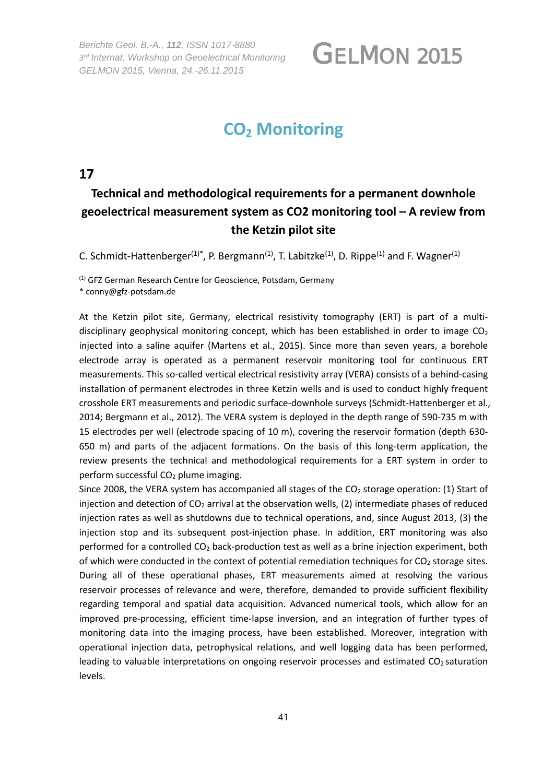*Berichte Geol. B.-A., 112, ISSN 1017*‐*8880 3rd Internat. Workshop on Geoelectrical Monitoring GELMON 2015, Vienna, 24.-26.11.2015* 

## GELMON 2015

## **CO2 Monitoring**

### **17**

### **Technical and methodological requirements for a permanent downhole geoelectrical measurement system as CO2 monitoring tool – A review from the Ketzin pilot site**

C. Schmidt-Hattenberger<sup>(1)\*</sup>, P. Bergmann<sup>(1)</sup>, T. Labitzke<sup>(1)</sup>, D. Rippe<sup>(1)</sup> and F. Wagner<sup>(1)</sup>

(1) GFZ German Research Centre for Geoscience, Potsdam, Germany \* conny@gfz-potsdam.de

At the Ketzin pilot site, Germany, electrical resistivity tomography (ERT) is part of a multidisciplinary geophysical monitoring concept, which has been established in order to image  $CO<sub>2</sub>$ injected into a saline aquifer (Martens et al., 2015). Since more than seven years, a borehole electrode array is operated as a permanent reservoir monitoring tool for continuous ERT measurements. This so-called vertical electrical resistivity array (VERA) consists of a behind-casing installation of permanent electrodes in three Ketzin wells and is used to conduct highly frequent crosshole ERT measurements and periodic surface-downhole surveys (Schmidt-Hattenberger et al., 2014; Bergmann et al., 2012). The VERA system is deployed in the depth range of 590-735 m with 15 electrodes per well (electrode spacing of 10 m), covering the reservoir formation (depth 630- 650 m) and parts of the adjacent formations. On the basis of this long-term application, the review presents the technical and methodological requirements for a ERT system in order to perform successful  $CO<sub>2</sub>$  plume imaging.

Since 2008, the VERA system has accompanied all stages of the  $CO<sub>2</sub>$  storage operation: (1) Start of injection and detection of  $CO<sub>2</sub>$  arrival at the observation wells, (2) intermediate phases of reduced injection rates as well as shutdowns due to technical operations, and, since August 2013, (3) the injection stop and its subsequent post-injection phase. In addition, ERT monitoring was also performed for a controlled  $CO<sub>2</sub>$  back-production test as well as a brine injection experiment, both of which were conducted in the context of potential remediation techniques for  $CO<sub>2</sub>$  storage sites. During all of these operational phases, ERT measurements aimed at resolving the various reservoir processes of relevance and were, therefore, demanded to provide sufficient flexibility regarding temporal and spatial data acquisition. Advanced numerical tools, which allow for an improved pre-processing, efficient time-lapse inversion, and an integration of further types of monitoring data into the imaging process, have been established. Moreover, integration with operational injection data, petrophysical relations, and well logging data has been performed, leading to valuable interpretations on ongoing reservoir processes and estimated  $CO<sub>2</sub>$  saturation levels.